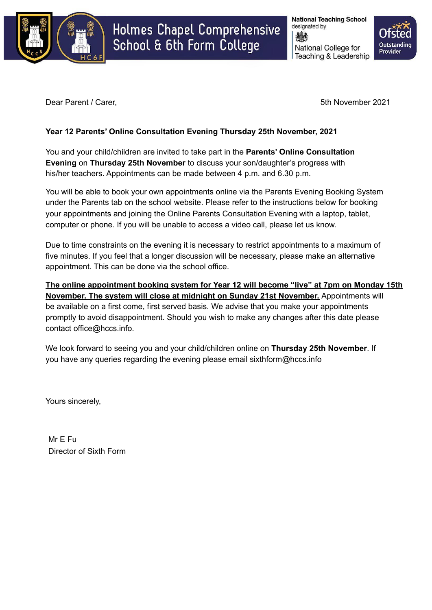

# Holmes Chapel Comprehensive School & 6th Form College

**National Teaching School** designated by National College for Teaching & Leadership



Dear Parent / Carer, **5th November 2021** 

## **Year 12 Parents' Online Consultation Evening Thursday 25th November, 2021**

You and your child/children are invited to take part in the **Parents' Online Consultation Evening** on **Thursday 25th November** to discuss your son/daughter's progress with his/her teachers. Appointments can be made between 4 p.m. and 6.30 p.m.

You will be able to book your own appointments online via the Parents Evening Booking System under the Parents tab on the school website. Please refer to the instructions below for booking your appointments and joining the Online Parents Consultation Evening with a laptop, tablet, computer or phone. If you will be unable to access a video call, please let us know.

Due to time constraints on the evening it is necessary to restrict appointments to a maximum of five minutes. If you feel that a longer discussion will be necessary, please make an alternative appointment. This can be done via the school office.

**The online appointment booking system for Year 12 will become "live" at 7pm on Monday 15th November. The system will close at midnight on Sunday 21st November.** Appointments will be available on a first come, first served basis. We advise that you make your appointments promptly to avoid disappointment. Should you wish to make any changes after this date please contact office@hccs.info.

We look forward to seeing you and your child/children online on **Thursday 25th November**. If you have any queries regarding the evening please email sixthform@hccs.info

Yours sincerely,

Mr E Fu Director of Sixth Form